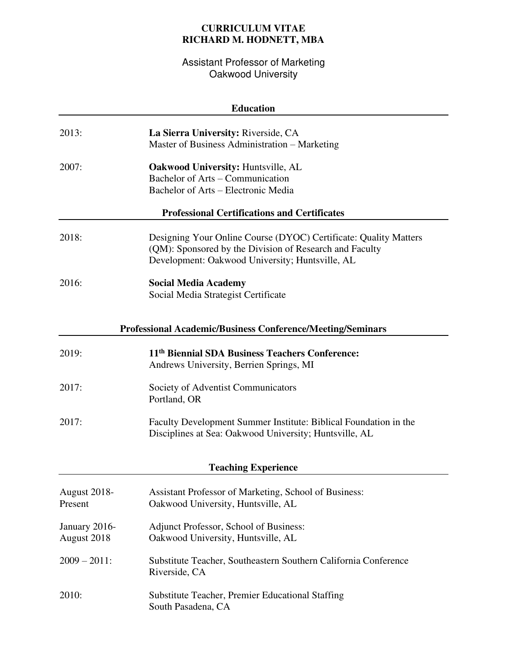## **CURRICULUM VITAE RICHARD M. HODNETT, MBA**

Assistant Professor of Marketing Oakwood University

| <b>Education</b>                                           |                                                                                                                                                                                |  |
|------------------------------------------------------------|--------------------------------------------------------------------------------------------------------------------------------------------------------------------------------|--|
| 2013:                                                      | La Sierra University: Riverside, CA<br>Master of Business Administration - Marketing                                                                                           |  |
| 2007:                                                      | <b>Oakwood University: Huntsville, AL</b><br>Bachelor of Arts – Communication<br>Bachelor of Arts – Electronic Media                                                           |  |
| <b>Professional Certifications and Certificates</b>        |                                                                                                                                                                                |  |
| 2018:                                                      | Designing Your Online Course (DYOC) Certificate: Quality Matters<br>(QM): Sponsored by the Division of Research and Faculty<br>Development: Oakwood University; Huntsville, AL |  |
| 2016:                                                      | <b>Social Media Academy</b><br>Social Media Strategist Certificate                                                                                                             |  |
| Professional Academic/Business Conference/Meeting/Seminars |                                                                                                                                                                                |  |
| 2019:                                                      | 11 <sup>th</sup> Biennial SDA Business Teachers Conference:<br>Andrews University, Berrien Springs, MI                                                                         |  |
| 2017:                                                      | Society of Adventist Communicators<br>Portland, OR                                                                                                                             |  |
| 2017:                                                      | Faculty Development Summer Institute: Biblical Foundation in the<br>Disciplines at Sea: Oakwood University; Huntsville, AL                                                     |  |
| <b>Teaching Experience</b>                                 |                                                                                                                                                                                |  |
| <b>August 2018-</b><br>Present                             | Assistant Professor of Marketing, School of Business:<br>Oakwood University, Huntsville, AL                                                                                    |  |
| January 2016-<br>August 2018                               | Adjunct Professor, School of Business:<br>Oakwood University, Huntsville, AL                                                                                                   |  |
| $2009 - 2011$ :                                            | Substitute Teacher, Southeastern Southern California Conference<br>Riverside, CA                                                                                               |  |
| 2010:                                                      | <b>Substitute Teacher, Premier Educational Staffing</b><br>South Pasadena, CA                                                                                                  |  |